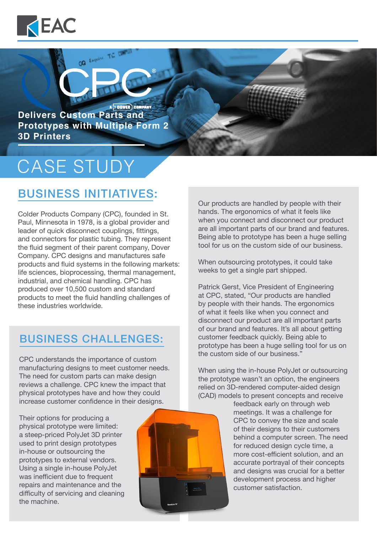

**A 5 DOVER** COMPANY **Delivers Custom Parts and Prototypes with Multiple Form 2 3D Printers**

GQ Exquire TC

# CASE STUDY

## BUSINESS INITIATIVES:

Colder Products Company (CPC), founded in St. Paul, Minnesota in 1978, is a global provider and leader of quick disconnect couplings, fittings, and connectors for plastic tubing. They represent the fluid segment of their parent company, Dover Company. CPC designs and manufactures safe products and fluid systems in the following markets: life sciences, bioprocessing, thermal management, industrial, and chemical handling. CPC has produced over 10,500 custom and standard products to meet the fluid handling challenges of these industries worldwide.

#### BUSINESS CHALLENGES:

CPC understands the importance of custom manufacturing designs to meet customer needs. The need for custom parts can make design reviews a challenge. CPC knew the impact that physical prototypes have and how they could increase customer confidence in their designs.

Their options for producing a physical prototype were limited: a steep-priced PolyJet 3D printer used to print design prototypes in-house or outsourcing the prototypes to external vendors. Using a single in-house PolyJet was inefficient due to frequent repairs and maintenance and the difficulty of servicing and cleaning the machine.



Our products are handled by people with their hands. The ergonomics of what it feels like when you connect and disconnect our product are all important parts of our brand and features. Being able to prototype has been a huge selling tool for us on the custom side of our business.

When outsourcing prototypes, it could take weeks to get a single part shipped.

Patrick Gerst, Vice President of Engineering at CPC, stated, "Our products are handled by people with their hands. The ergonomics of what it feels like when you connect and disconnect our product are all important parts of our brand and features. It's all about getting customer feedback quickly. Being able to prototype has been a huge selling tool for us on the custom side of our business."

When using the in-house PolyJet or outsourcing the prototype wasn't an option, the engineers relied on 3D-rendered computer-aided design (CAD) models to present concepts and receive

> feedback early on through web meetings. It was a challenge for CPC to convey the size and scale of their designs to their customers behind a computer screen. The need for reduced design cycle time, a more cost-efficient solution, and an accurate portrayal of their concepts and designs was crucial for a better development process and higher customer satisfaction.